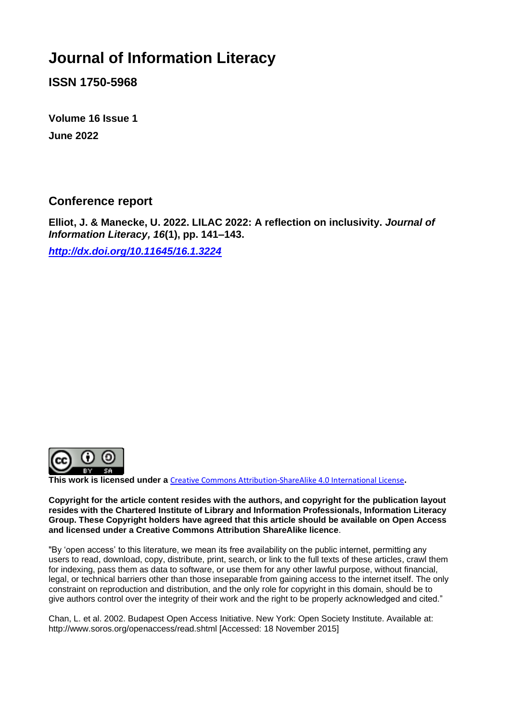## **Journal of Information Literacy**

**ISSN 1750-5968**

**Volume 16 Issue 1 June 2022**

**Conference report** 

**Elliot, J. & Manecke, U. 2022. LILAC 2022: A reflection on inclusivity.** *Journal of Information Literacy, 16***(1), pp. 141–143.**

*<http://dx.doi.org/10.11645/16.1.3224>*



**This work is licensed under a** [Creative Commons Attribution-ShareAlike 4.0 International License](http://creativecommons.org/licenses/by-sa/4.0/)**.**

**Copyright for the article content resides with the authors, and copyright for the publication layout resides with the Chartered Institute of Library and Information Professionals, Information Literacy Group. These Copyright holders have agreed that this article should be available on Open Access and licensed under a Creative Commons Attribution ShareAlike licence**.

"By 'open access' to this literature, we mean its free availability on the public internet, permitting any users to read, download, copy, distribute, print, search, or link to the full texts of these articles, crawl them for indexing, pass them as data to software, or use them for any other lawful purpose, without financial, legal, or technical barriers other than those inseparable from gaining access to the internet itself. The only constraint on reproduction and distribution, and the only role for copyright in this domain, should be to give authors control over the integrity of their work and the right to be properly acknowledged and cited."

Chan, L. et al. 2002. Budapest Open Access Initiative. New York: Open Society Institute. Available at: http://www.soros.org/openaccess/read.shtml [Accessed: 18 November 2015]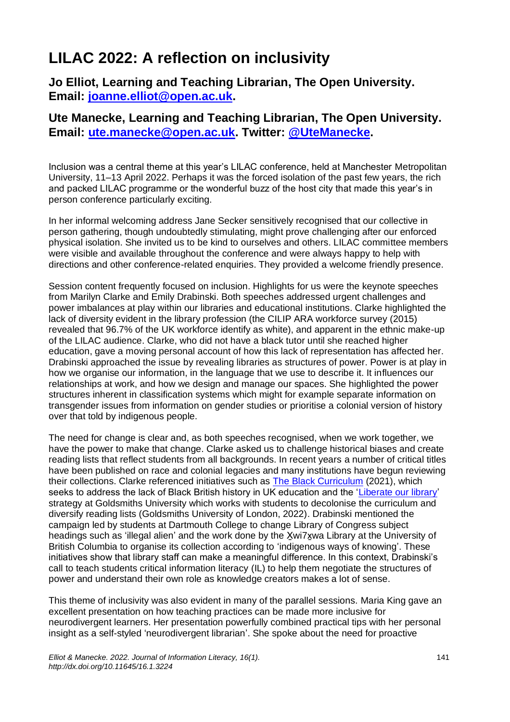## **LILAC 2022: A reflection on inclusivity**

**Jo Elliot, Learning and Teaching Librarian, The Open University. Email: [joanne.elliot@open.ac.uk.](mailto:joanne.elliot@open.ac.uk)**

## **Ute Manecke, Learning and Teaching Librarian, The Open University. Email: [ute.manecke@open.ac.uk.](mailto:ute.manecke@open.ac.uk) Twitter: [@UteManecke.](https://twitter.com/utemanecke)**

Inclusion was a central theme at this year's LILAC conference, held at Manchester Metropolitan University, 11–13 April 2022. Perhaps it was the forced isolation of the past few years, the rich and packed LILAC programme or the wonderful buzz of the host city that made this year's in person conference particularly exciting.

In her informal welcoming address Jane Secker sensitively recognised that our collective in person gathering, though undoubtedly stimulating, might prove challenging after our enforced physical isolation. She invited us to be kind to ourselves and others. LILAC committee members were visible and available throughout the conference and were always happy to help with directions and other conference-related enquiries. They provided a welcome friendly presence.

Session content frequently focused on inclusion. Highlights for us were the keynote speeches from Marilyn Clarke and Emily Drabinski. Both speeches addressed urgent challenges and power imbalances at play within our libraries and educational institutions. Clarke highlighted the lack of diversity evident in the library profession (the CILIP ARA workforce survey (2015) revealed that 96.7% of the UK workforce identify as white), and apparent in the ethnic make-up of the LILAC audience. Clarke, who did not have a black tutor until she reached higher education, gave a moving personal account of how this lack of representation has affected her. Drabinski approached the issue by revealing libraries as structures of power. Power is at play in how we organise our information, in the language that we use to describe it. It influences our relationships at work, and how we design and manage our spaces. She highlighted the power structures inherent in classification systems which might for example separate information on transgender issues from information on gender studies or prioritise a colonial version of history over that told by indigenous people.

The need for change is clear and, as both speeches recognised, when we work together, we have the power to make that change. Clarke asked us to challenge historical biases and create reading lists that reflect students from all backgrounds. In recent years a number of critical titles have been published on race and colonial legacies and many institutions have begun reviewing their collections. Clarke referenced initiatives such as [The Black Curriculum](https://theblackcurriculum.com/) (2021), which seeks to address the lack of Black British history in UK education and the ['Liberate our library'](https://www.gold.ac.uk/library/about/liberate-our-library/) strategy at Goldsmiths University which works with students to decolonise the curriculum and diversify reading lists (Goldsmiths University of London, 2022). Drabinski mentioned the campaign led by students at Dartmouth College to change Library of Congress subject headings such as 'illegal alien' and the work done by the Xwi7xwa Library at the University of British Columbia to organise its collection according to 'indigenous ways of knowing'. These initiatives show that library staff can make a meaningful difference. In this context, Drabinski's call to teach students critical information literacy (IL) to help them negotiate the structures of power and understand their own role as knowledge creators makes a lot of sense.

This theme of inclusivity was also evident in many of the parallel sessions. Maria King gave an excellent presentation on how teaching practices can be made more inclusive for neurodivergent learners. Her presentation powerfully combined practical tips with her personal insight as a self-styled 'neurodivergent librarian'. She spoke about the need for proactive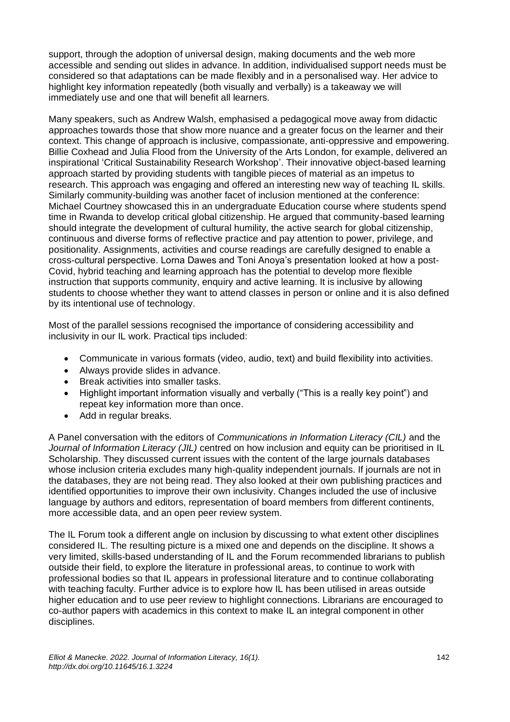support, through the adoption of universal design, making documents and the web more accessible and sending out slides in advance. In addition, individualised support needs must be considered so that adaptations can be made flexibly and in a personalised way. Her advice to highlight key information repeatedly (both visually and verbally) is a takeaway we will immediately use and one that will benefit all learners.

Many speakers, such as Andrew Walsh, emphasised a pedagogical move away from didactic approaches towards those that show more nuance and a greater focus on the learner and their context. This change of approach is inclusive, compassionate, anti-oppressive and empowering. Billie Coxhead and Julia Flood from the University of the Arts London, for example, delivered an inspirational 'Critical Sustainability Research Workshop'. Their innovative object-based learning approach started by providing students with tangible pieces of material as an impetus to research. This approach was engaging and offered an interesting new way of teaching IL skills. Similarly community-building was another facet of inclusion mentioned at the conference: Michael Courtney showcased this in an undergraduate Education course where students spend time in Rwanda to develop critical global citizenship. He argued that community-based learning should integrate the development of cultural humility, the active search for global citizenship, continuous and diverse forms of reflective practice and pay attention to power, privilege, and positionality. Assignments, activities and course readings are carefully designed to enable a cross-cultural perspective. Lorna Dawes and Toni Anoya's presentation looked at how a post-Covid, hybrid teaching and learning approach has the potential to develop more flexible instruction that supports community, enquiry and active learning. It is inclusive by allowing students to choose whether they want to attend classes in person or online and it is also defined by its intentional use of technology.

Most of the parallel sessions recognised the importance of considering accessibility and inclusivity in our IL work. Practical tips included:

- Communicate in various formats (video, audio, text) and build flexibility into activities.
- Always provide slides in advance.
- Break activities into smaller tasks.
- Highlight important information visually and verbally ("This is a really key point") and repeat key information more than once.
- Add in regular breaks.

A Panel conversation with the editors of *Communications in Information Literacy (CIL)* and the *Journal of Information Literacy (JIL)* centred on how inclusion and equity can be prioritised in IL Scholarship. They discussed current issues with the content of the large journals databases whose inclusion criteria excludes many high-quality independent journals. If journals are not in the databases, they are not being read. They also looked at their own publishing practices and identified opportunities to improve their own inclusivity. Changes included the use of inclusive language by authors and editors, representation of board members from different continents, more accessible data, and an open peer review system.

The IL Forum took a different angle on inclusion by discussing to what extent other disciplines considered IL. The resulting picture is a mixed one and depends on the discipline. It shows a very limited, skills-based understanding of IL and the Forum recommended librarians to publish outside their field, to explore the literature in professional areas, to continue to work with professional bodies so that IL appears in professional literature and to continue collaborating with teaching faculty. Further advice is to explore how IL has been utilised in areas outside higher education and to use peer review to highlight connections. Librarians are encouraged to co-author papers with academics in this context to make IL an integral component in other disciplines.